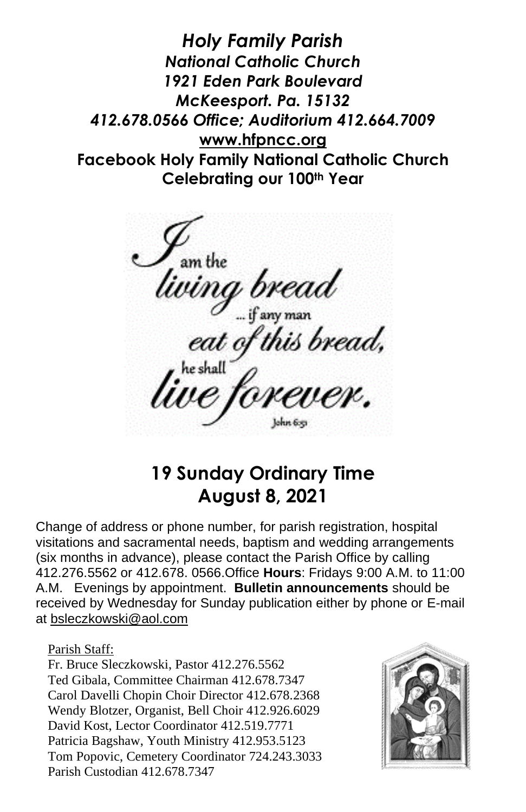*Holy Family Parish National Catholic Church 1921 Eden Park Boulevard McKeesport. Pa. 15132 412.678.0566 Office; Auditorium 412.664.7009* **[www.hfpncc.org](http://www.hfpncc.org/) Facebook Holy Family National Catholic Church Celebrating our 100th Year**

,<br>um the<br>**ving bread**<br>eat of this bread,<br>re shall<br>re forever.

**19 Sunday Ordinary Time August 8, 2021**

Change of address or phone number, for parish registration, hospital visitations and sacramental needs, baptism and wedding arrangements (six months in advance), please contact the Parish Office by calling 412.276.5562 or 412.678. 0566.Office **Hours**: Fridays 9:00 A.M. to 11:00 A.M. Evenings by appointment. **Bulletin announcements** should be received by Wednesday for Sunday publication either by phone or E-mail at [bsleczkowski@aol.com](mailto:bsleczkowski@aol.com)

Parish Staff:

Fr. Bruce Sleczkowski, Pastor 412.276.5562 Ted Gibala, Committee Chairman 412.678.7347 Carol Davelli Chopin Choir Director 412.678.2368 Wendy Blotzer, Organist, Bell Choir 412.926.6029 David Kost, Lector Coordinator 412.519.7771 Patricia Bagshaw, Youth Ministry 412.953.5123 Tom Popovic, Cemetery Coordinator 724.243.3033 Parish Custodian 412.678.7347

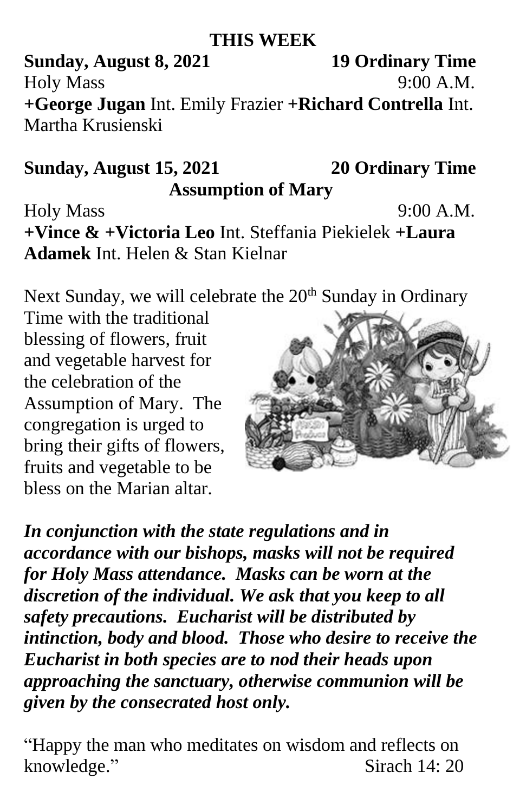## **THIS WEEK**

**Sunday, August 8, 2021 19 Ordinary Time** Holy Mass 9:00 A.M. **+George Jugan** Int. Emily Frazier **+Richard Contrella** Int. Martha Krusienski

## **Sunday, August 15, 2021 20 Ordinary Time Assumption of Mary**

Holy Mass 9:00 A.M. **+Vince & +Victoria Leo** Int. Steffania Piekielek **+Laura Adamek** Int. Helen & Stan Kielnar

Next Sunday, we will celebrate the  $20<sup>th</sup>$  Sunday in Ordinary

Time with the traditional blessing of flowers, fruit and vegetable harvest for the celebration of the Assumption of Mary. The congregation is urged to bring their gifts of flowers, fruits and vegetable to be bless on the Marian altar.



*In conjunction with the state regulations and in accordance with our bishops, masks will not be required for Holy Mass attendance. Masks can be worn at the discretion of the individual. We ask that you keep to all safety precautions. Eucharist will be distributed by intinction, body and blood. Those who desire to receive the Eucharist in both species are to nod their heads upon approaching the sanctuary, otherwise communion will be given by the consecrated host only.*

"Happy the man who meditates on wisdom and reflects on knowledge." Sirach 14: 20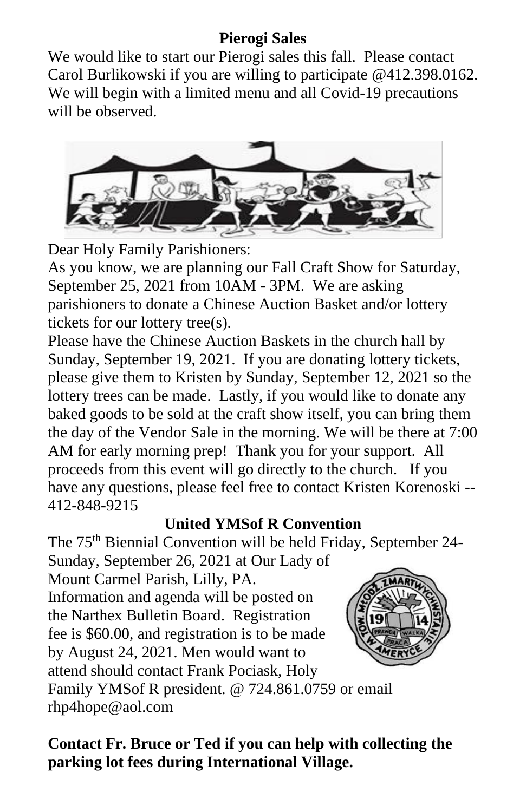## **Pierogi Sales**

We would like to start our Pierogi sales this fall. Please contact Carol Burlikowski if you are willing to participate @412.398.0162. We will begin with a limited menu and all Covid-19 precautions will be observed.



Dear Holy Family Parishioners:

As you know, we are planning our Fall Craft Show for Saturday, September 25, 2021 from 10AM - 3PM. We are asking parishioners to donate a Chinese Auction Basket and/or lottery tickets for our lottery tree(s).

Please have the Chinese Auction Baskets in the church hall by Sunday, September 19, 2021. If you are donating lottery tickets, please give them to Kristen by Sunday, September 12, 2021 so the lottery trees can be made. Lastly, if you would like to donate any baked goods to be sold at the craft show itself, you can bring them the day of the Vendor Sale in the morning. We will be there at 7:00 AM for early morning prep! Thank you for your support. All proceeds from this event will go directly to the church. If you have any questions, please feel free to contact Kristen Korenoski -- 412-848-9215

## **United YMSof R Convention**

The 75<sup>th</sup> Biennial Convention will be held Friday, September 24-

Sunday, September 26, 2021 at Our Lady of Mount Carmel Parish, Lilly, PA. Information and agenda will be posted on the Narthex Bulletin Board. Registration fee is \$60.00, and registration is to be made by August 24, 2021. Men would want to attend should contact Frank Pociask, Holy



Family YMSof R president. @ 724.861.0759 or email rhp4hope@aol.com

**Contact Fr. Bruce or Ted if you can help with collecting the parking lot fees during International Village.**